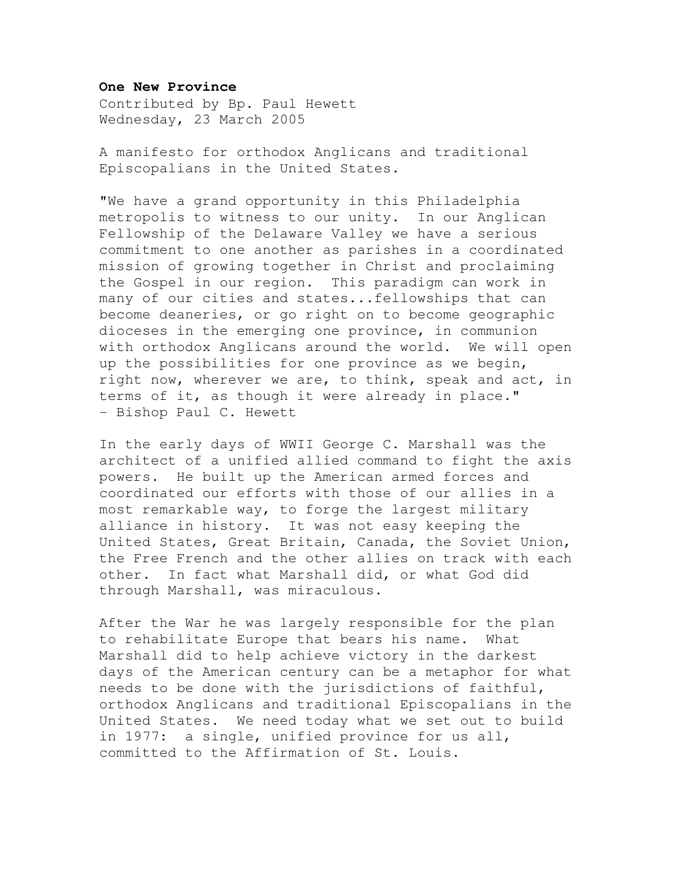## **One New Province**

Contributed by Bp. Paul Hewett Wednesday, 23 March 2005

A manifesto for orthodox Anglicans and traditional Episcopalians in the United States.

"We have a grand opportunity in this Philadelphia metropolis to witness to our unity. In our Anglican Fellowship of the Delaware Valley we have a serious commitment to one another as parishes in a coordinated mission of growing together in Christ and proclaiming the Gospel in our region. This paradigm can work in many of our cities and states...fellowships that can become deaneries, or go right on to become geographic dioceses in the emerging one province, in communion with orthodox Anglicans around the world. We will open up the possibilities for one province as we begin, right now, wherever we are, to think, speak and act, in terms of it, as though it were already in place." - Bishop Paul C. Hewett

In the early days of WWII George C. Marshall was the architect of a unified allied command to fight the axis powers. He built up the American armed forces and coordinated our efforts with those of our allies in a most remarkable way, to forge the largest military alliance in history. It was not easy keeping the United States, Great Britain, Canada, the Soviet Union, the Free French and the other allies on track with each other. In fact what Marshall did, or what God did through Marshall, was miraculous.

After the War he was largely responsible for the plan to rehabilitate Europe that bears his name. What Marshall did to help achieve victory in the darkest days of the American century can be a metaphor for what needs to be done with the jurisdictions of faithful, orthodox Anglicans and traditional Episcopalians in the United States. We need today what we set out to build in 1977: a single, unified province for us all, committed to the Affirmation of St. Louis.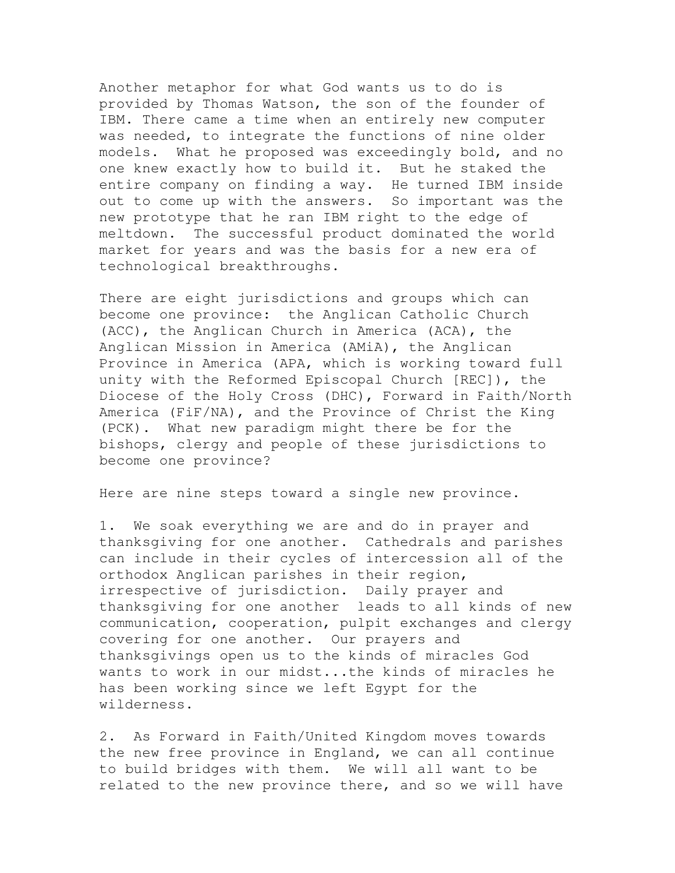Another metaphor for what God wants us to do is provided by Thomas Watson, the son of the founder of IBM. There came a time when an entirely new computer was needed, to integrate the functions of nine older models. What he proposed was exceedingly bold, and no one knew exactly how to build it. But he staked the entire company on finding a way. He turned IBM inside out to come up with the answers. So important was the new prototype that he ran IBM right to the edge of meltdown. The successful product dominated the world market for years and was the basis for a new era of technological breakthroughs.

There are eight jurisdictions and groups which can become one province: the Anglican Catholic Church (ACC), the Anglican Church in America (ACA), the Anglican Mission in America (AMiA), the Anglican Province in America (APA, which is working toward full unity with the Reformed Episcopal Church [REC]), the Diocese of the Holy Cross (DHC), Forward in Faith/North America (FiF/NA), and the Province of Christ the King (PCK). What new paradigm might there be for the bishops, clergy and people of these jurisdictions to become one province?

Here are nine steps toward a single new province.

1. We soak everything we are and do in prayer and thanksgiving for one another. Cathedrals and parishes can include in their cycles of intercession all of the orthodox Anglican parishes in their region, irrespective of jurisdiction. Daily prayer and thanksgiving for one another leads to all kinds of new communication, cooperation, pulpit exchanges and clergy covering for one another. Our prayers and thanksgivings open us to the kinds of miracles God wants to work in our midst...the kinds of miracles he has been working since we left Egypt for the wilderness.

2. As Forward in Faith/United Kingdom moves towards the new free province in England, we can all continue to build bridges with them. We will all want to be related to the new province there, and so we will have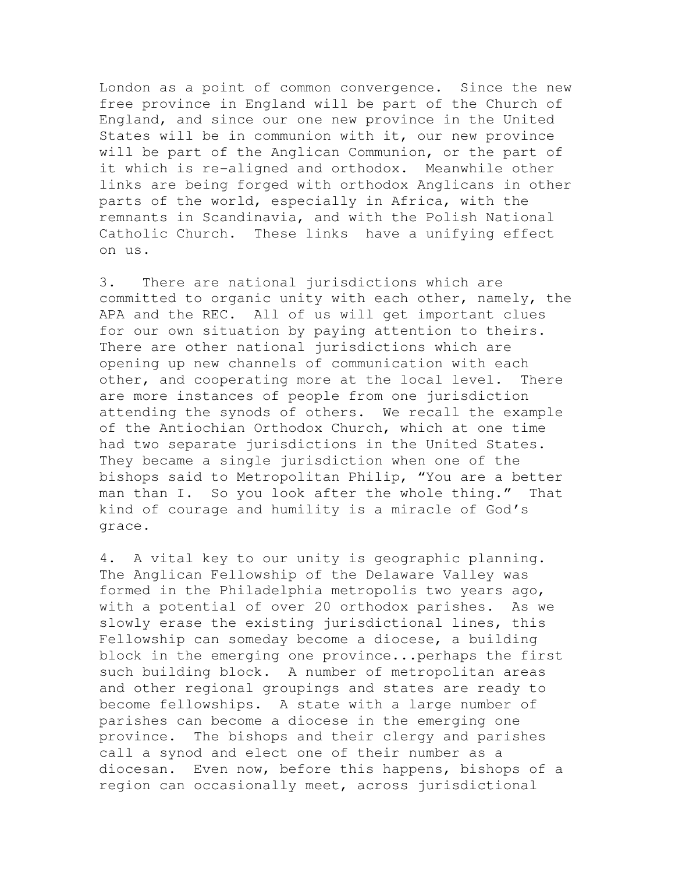London as a point of common convergence. Since the new free province in England will be part of the Church of England, and since our one new province in the United States will be in communion with it, our new province will be part of the Anglican Communion, or the part of it which is re-aligned and orthodox. Meanwhile other links are being forged with orthodox Anglicans in other parts of the world, especially in Africa, with the remnants in Scandinavia, and with the Polish National Catholic Church. These links have a unifying effect on us.

3. There are national jurisdictions which are committed to organic unity with each other, namely, the APA and the REC. All of us will get important clues for our own situation by paying attention to theirs. There are other national jurisdictions which are opening up new channels of communication with each other, and cooperating more at the local level. There are more instances of people from one jurisdiction attending the synods of others. We recall the example of the Antiochian Orthodox Church, which at one time had two separate jurisdictions in the United States. They became a single jurisdiction when one of the bishops said to Metropolitan Philip, "You are a better man than I. So you look after the whole thing." That kind of courage and humility is a miracle of God's grace.

4. A vital key to our unity is geographic planning. The Anglican Fellowship of the Delaware Valley was formed in the Philadelphia metropolis two years ago, with a potential of over 20 orthodox parishes. As we slowly erase the existing jurisdictional lines, this Fellowship can someday become a diocese, a building block in the emerging one province...perhaps the first such building block. A number of metropolitan areas and other regional groupings and states are ready to become fellowships. A state with a large number of parishes can become a diocese in the emerging one province. The bishops and their clergy and parishes call a synod and elect one of their number as a diocesan. Even now, before this happens, bishops of a region can occasionally meet, across jurisdictional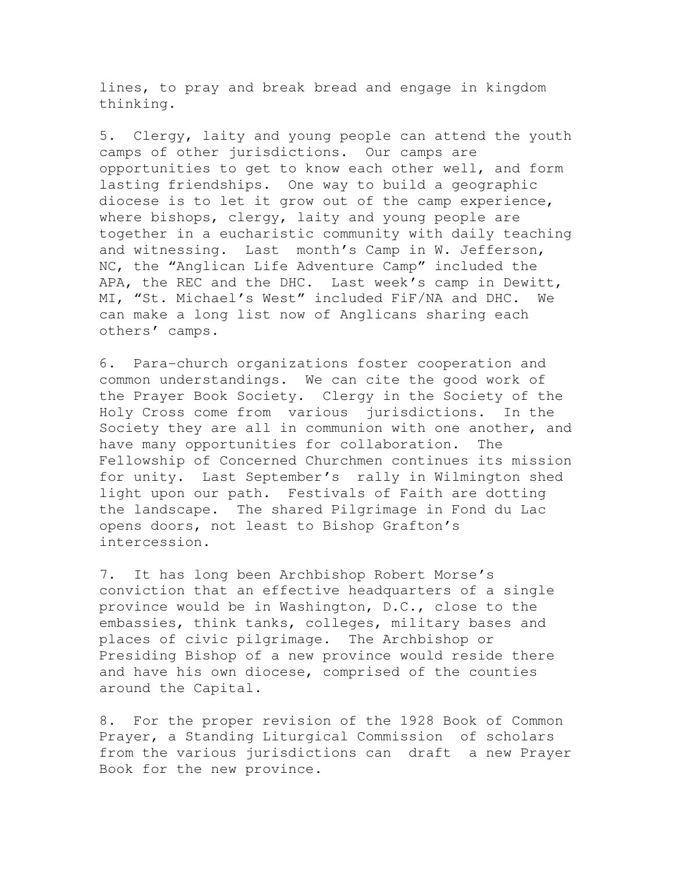lines, to pray and break bread and engage in kingdom thinking.

5. Clergy, laity and young people can attend the youth camps of other jurisdictions. Our camps are opportunities to get to know each other well, and form lasting friendships. One way to build a geographic diocese is to let it grow out of the camp experience, where bishops, clergy, laity and young people are together in a eucharistic community with daily teaching and witnessing. Last month's Camp in W. Jefferson, NC, the "Anglican Life Adventure Camp" included the APA, the REC and the DHC. Last week's camp in Dewitt, MI, "St. Michael's West" included FiF/NA and DHC. We can make a long list now of Anglicans sharing each others' camps.

6. Para-church organizations foster cooperation and common understandings. We can cite the good work of the Prayer Book Society. Clergy in the Society of the Holy Cross come from various jurisdictions. In the Society they are all in communion with one another, and have many opportunities for collaboration. The Fellowship of Concerned Churchmen continues its mission for unity. Last September's rally in Wilmington shed light upon our path. Festivals of Faith are dotting the landscape. The shared Pilgrimage in Fond du Lac opens doors, not least to Bishop Grafton's intercession.

7. It has long been Archbishop Robert Morse's conviction that an effective headquarters of a single province would be in Washington, D.C., close to the embassies, think tanks, colleges, military bases and places of civic pilgrimage. The Archbishop or Presiding Bishop of a new province would reside there and have his own diocese, comprised of the counties around the Capital.

8. For the proper revision of the 1928 Book of Common Prayer, a Standing Liturgical Commission of scholars from the various jurisdictions can draft a new Prayer Book for the new province.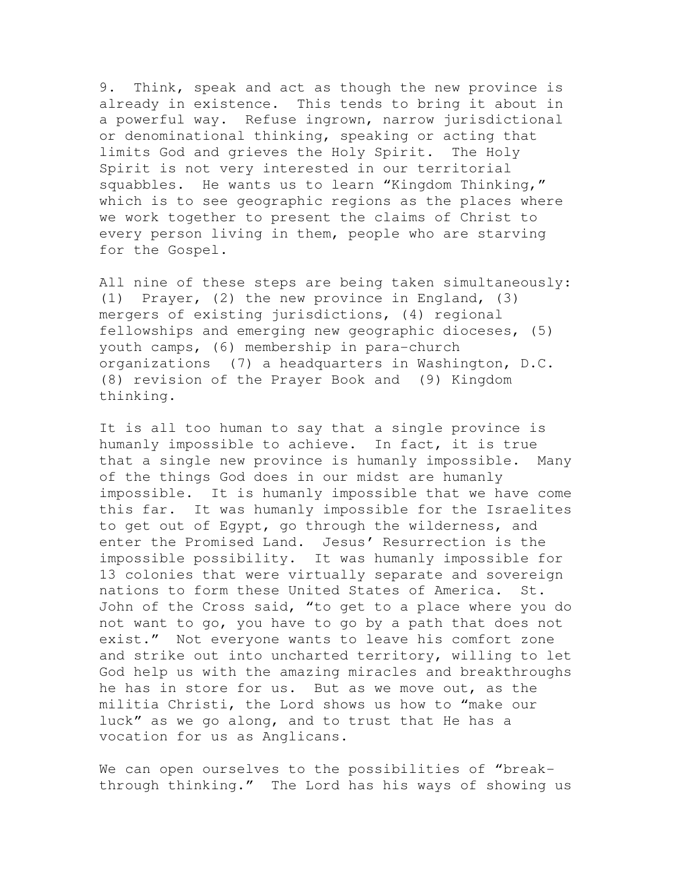9. Think, speak and act as though the new province is already in existence. This tends to bring it about in a powerful way. Refuse ingrown, narrow jurisdictional or denominational thinking, speaking or acting that limits God and grieves the Holy Spirit. The Holy Spirit is not very interested in our territorial squabbles. He wants us to learn "Kingdom Thinking," which is to see geographic regions as the places where we work together to present the claims of Christ to every person living in them, people who are starving for the Gospel.

All nine of these steps are being taken simultaneously: (1) Prayer, (2) the new province in England, (3) mergers of existing jurisdictions, (4) regional fellowships and emerging new geographic dioceses, (5) youth camps, (6) membership in para-church organizations (7) a headquarters in Washington, D.C. (8) revision of the Prayer Book and (9) Kingdom thinking.

It is all too human to say that a single province is humanly impossible to achieve. In fact, it is true that a single new province is humanly impossible. Many of the things God does in our midst are humanly impossible. It is humanly impossible that we have come this far. It was humanly impossible for the Israelites to get out of Egypt, go through the wilderness, and enter the Promised Land. Jesus' Resurrection is the impossible possibility. It was humanly impossible for 13 colonies that were virtually separate and sovereign nations to form these United States of America. St. John of the Cross said, "to get to a place where you do not want to go, you have to go by a path that does not exist." Not everyone wants to leave his comfort zone and strike out into uncharted territory, willing to let God help us with the amazing miracles and breakthroughs he has in store for us. But as we move out, as the militia Christi, the Lord shows us how to "make our luck" as we go along, and to trust that He has a vocation for us as Anglicans.

We can open ourselves to the possibilities of "breakthrough thinking." The Lord has his ways of showing us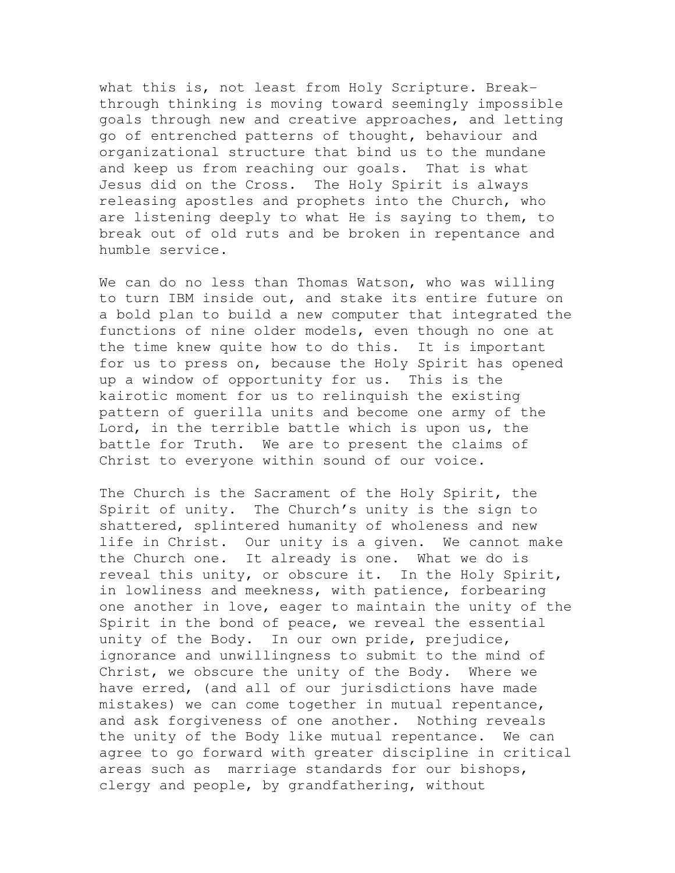what this is, not least from Holy Scripture. Breakthrough thinking is moving toward seemingly impossible goals through new and creative approaches, and letting go of entrenched patterns of thought, behaviour and organizational structure that bind us to the mundane and keep us from reaching our goals. That is what Jesus did on the Cross. The Holy Spirit is always releasing apostles and prophets into the Church, who are listening deeply to what He is saying to them, to break out of old ruts and be broken in repentance and humble service.

We can do no less than Thomas Watson, who was willing to turn IBM inside out, and stake its entire future on a bold plan to build a new computer that integrated the functions of nine older models, even though no one at the time knew quite how to do this. It is important for us to press on, because the Holy Spirit has opened up a window of opportunity for us. This is the kairotic moment for us to relinquish the existing pattern of guerilla units and become one army of the Lord, in the terrible battle which is upon us, the battle for Truth. We are to present the claims of Christ to everyone within sound of our voice.

The Church is the Sacrament of the Holy Spirit, the Spirit of unity. The Church's unity is the sign to shattered, splintered humanity of wholeness and new life in Christ. Our unity is a given. We cannot make the Church one. It already is one. What we do is reveal this unity, or obscure it. In the Holy Spirit, in lowliness and meekness, with patience, forbearing one another in love, eager to maintain the unity of the Spirit in the bond of peace, we reveal the essential unity of the Body. In our own pride, prejudice, ignorance and unwillingness to submit to the mind of Christ, we obscure the unity of the Body. Where we have erred, (and all of our jurisdictions have made mistakes) we can come together in mutual repentance, and ask forgiveness of one another. Nothing reveals the unity of the Body like mutual repentance. We can agree to go forward with greater discipline in critical areas such as marriage standards for our bishops, clergy and people, by grandfathering, without